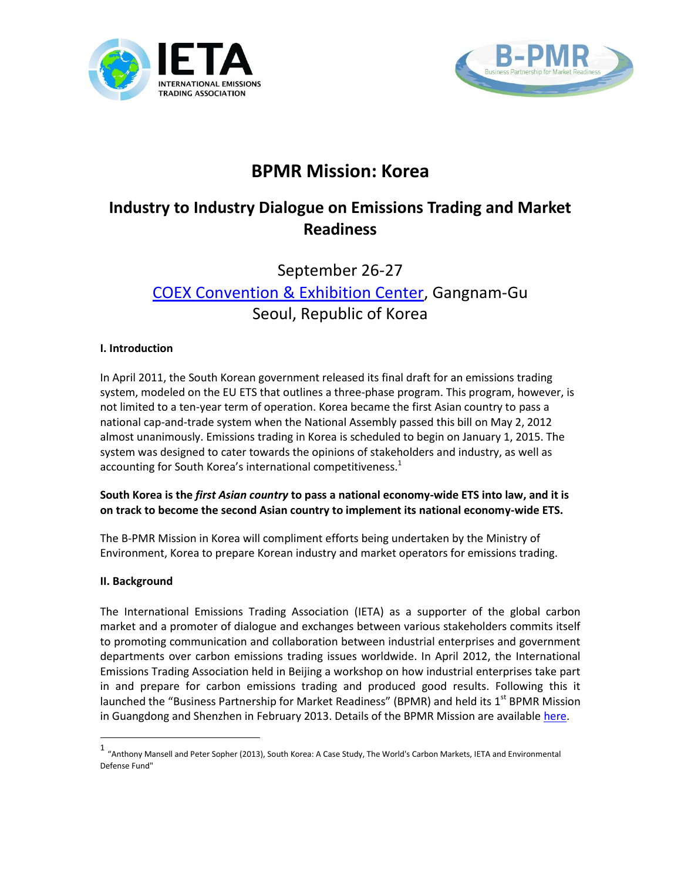



# **BPMR Mission: Korea**

## **Industry to Industry Dialogue on Emissions Trading and Market Readiness**

# September 26-27 [COEX Convention & Exhibition Center,](http://www.coex.co.kr/) Gangnam-Gu Seoul, Republic of Korea

#### **I. Introduction**

In April 2011, the South Korean government released its final draft for an emissions trading system, modeled on the EU ETS that outlines a three-phase program. This program, however, is not limited to a ten-year term of operation. Korea became the first Asian country to pass a national cap-and-trade system when the National Assembly passed this bill on May 2, 2012 almost unanimously. Emissions trading in Korea is scheduled to begin on January 1, 2015. The system was designed to cater towards the opinions of stakeholders and industry, as well as accounting for South Korea's international competitiveness.<sup>1</sup>

#### **South Korea is the** *first Asian country* **to pass a national economy-wide ETS into law, and it is on track to become the second Asian country to implement its national economy-wide ETS.**

The B-PMR Mission in Korea will compliment efforts being undertaken by the Ministry of Environment, Korea to prepare Korean industry and market operators for emissions trading.

#### **II. Background**

 $\overline{a}$ 

The International Emissions Trading Association (IETA) as a supporter of the global carbon market and a promoter of dialogue and exchanges between various stakeholders commits itself to promoting communication and collaboration between industrial enterprises and government departments over carbon emissions trading issues worldwide. In April 2012, the International Emissions Trading Association held in Beijing a workshop on how industrial enterprises take part in and prepare for carbon emissions trading and produced good results. Following this it launched the "Business Partnership for Market Readiness" (BPMR) and held its 1<sup>st</sup> BPMR Mission in Guangdong and Shenzhen in February 2013. Details of the BPMR Mission are available [here.](http://www.ieta.org/guangdong)

<sup>1</sup> "Anthony Mansell and Peter Sopher (2013), South Korea: A Case Study, The World's Carbon Markets, IETA and Environmental Defense Fund"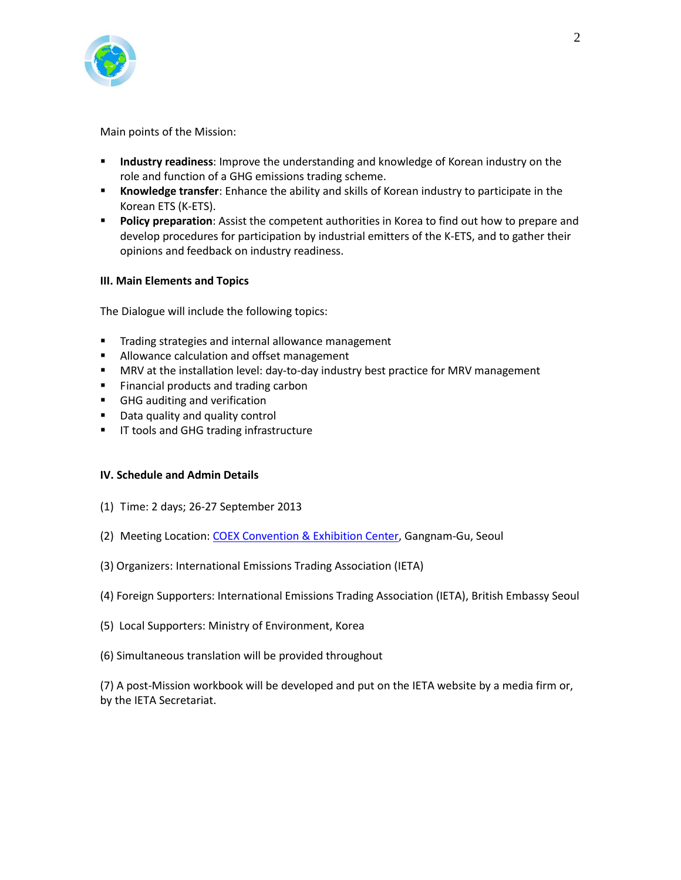

Main points of the Mission:

- **Industry readiness**: Improve the understanding and knowledge of Korean industry on the role and function of a GHG emissions trading scheme.
- **Knowledge transfer**: Enhance the ability and skills of Korean industry to participate in the Korean ETS (K-ETS).
- **Policy preparation**: Assist the competent authorities in Korea to find out how to prepare and develop procedures for participation by industrial emitters of the K-ETS, and to gather their opinions and feedback on industry readiness.

#### **III. Main Elements and Topics**

The Dialogue will include the following topics:

- **Trading strategies and internal allowance management**
- **Allowance calculation and offset management**
- MRV at the installation level: day-to-day industry best practice for MRV management
- **Financial products and trading carbon**
- GHG auditing and verification
- **Data quality and quality control**
- **IF tools and GHG trading infrastructure**

#### **IV. Schedule and Admin Details**

- (1) Time: 2 days; 26-27 September 2013
- (2) Meeting Location: [COEX Convention & Exhibition Center,](http://www.coex.co.kr/) Gangnam-Gu, Seoul
- (3) Organizers: International Emissions Trading Association (IETA)
- (4) Foreign Supporters: International Emissions Trading Association (IETA), British Embassy Seoul
- (5) Local Supporters: Ministry of Environment, Korea
- (6) Simultaneous translation will be provided throughout

(7) A post-Mission workbook will be developed and put on the IETA website by a media firm or, by the IETA Secretariat.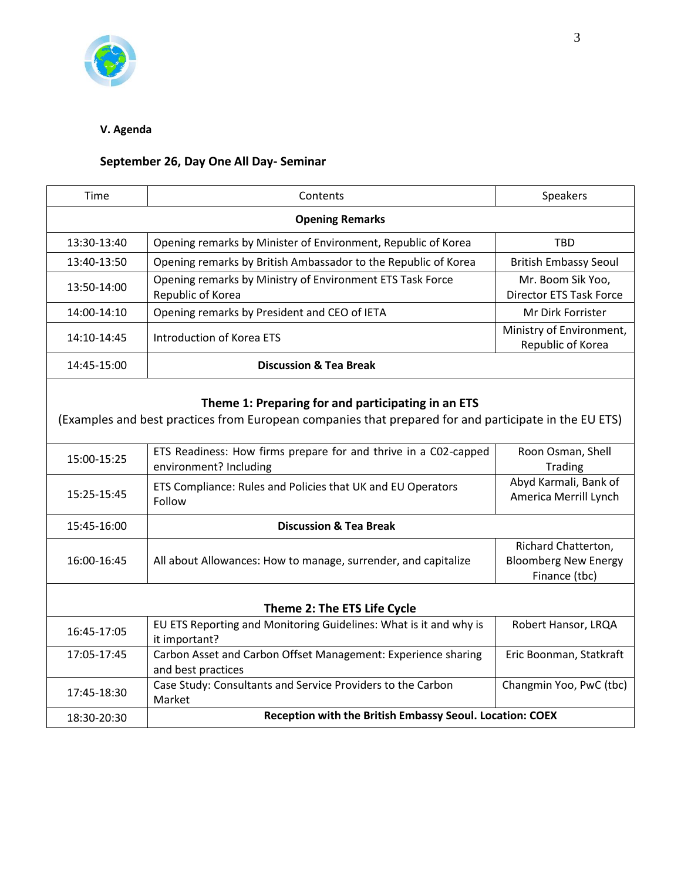

### **V. Agenda**

## **September 26, Day One All Day- Seminar**

| Time                                                                                                                                                        | Contents                                                                                  | Speakers                                                            |  |  |
|-------------------------------------------------------------------------------------------------------------------------------------------------------------|-------------------------------------------------------------------------------------------|---------------------------------------------------------------------|--|--|
| <b>Opening Remarks</b>                                                                                                                                      |                                                                                           |                                                                     |  |  |
| 13:30-13:40                                                                                                                                                 | Opening remarks by Minister of Environment, Republic of Korea                             | <b>TBD</b>                                                          |  |  |
| 13:40-13:50                                                                                                                                                 | Opening remarks by British Ambassador to the Republic of Korea                            | <b>British Embassy Seoul</b>                                        |  |  |
| 13:50-14:00                                                                                                                                                 | Opening remarks by Ministry of Environment ETS Task Force<br>Republic of Korea            | Mr. Boom Sik Yoo,<br><b>Director ETS Task Force</b>                 |  |  |
| 14:00-14:10                                                                                                                                                 | Opening remarks by President and CEO of IETA                                              | Mr Dirk Forrister                                                   |  |  |
| 14:10-14:45                                                                                                                                                 | <b>Introduction of Korea ETS</b>                                                          | Ministry of Environment,<br>Republic of Korea                       |  |  |
| 14:45-15:00                                                                                                                                                 | <b>Discussion &amp; Tea Break</b>                                                         |                                                                     |  |  |
| Theme 1: Preparing for and participating in an ETS<br>(Examples and best practices from European companies that prepared for and participate in the EU ETS) |                                                                                           |                                                                     |  |  |
| 15:00-15:25                                                                                                                                                 | ETS Readiness: How firms prepare for and thrive in a C02-capped<br>environment? Including | Roon Osman, Shell<br>Trading                                        |  |  |
| 15:25-15:45                                                                                                                                                 | ETS Compliance: Rules and Policies that UK and EU Operators<br>Follow                     | Abyd Karmali, Bank of<br>America Merrill Lynch                      |  |  |
| 15:45-16:00                                                                                                                                                 | <b>Discussion &amp; Tea Break</b>                                                         |                                                                     |  |  |
| 16:00-16:45                                                                                                                                                 | All about Allowances: How to manage, surrender, and capitalize                            | Richard Chatterton,<br><b>Bloomberg New Energy</b><br>Finance (tbc) |  |  |
| Theme 2: The ETS Life Cycle                                                                                                                                 |                                                                                           |                                                                     |  |  |
| 16:45-17:05                                                                                                                                                 | EU ETS Reporting and Monitoring Guidelines: What is it and why is<br>it important?        | Robert Hansor, LRQA                                                 |  |  |
| 17:05-17:45                                                                                                                                                 | Carbon Asset and Carbon Offset Management: Experience sharing<br>and best practices       | Eric Boonman, Statkraft                                             |  |  |
| 17:45-18:30                                                                                                                                                 | Case Study: Consultants and Service Providers to the Carbon<br>Market                     | Changmin Yoo, PwC (tbc)                                             |  |  |
| 18:30-20:30                                                                                                                                                 | Reception with the British Embassy Seoul. Location: COEX                                  |                                                                     |  |  |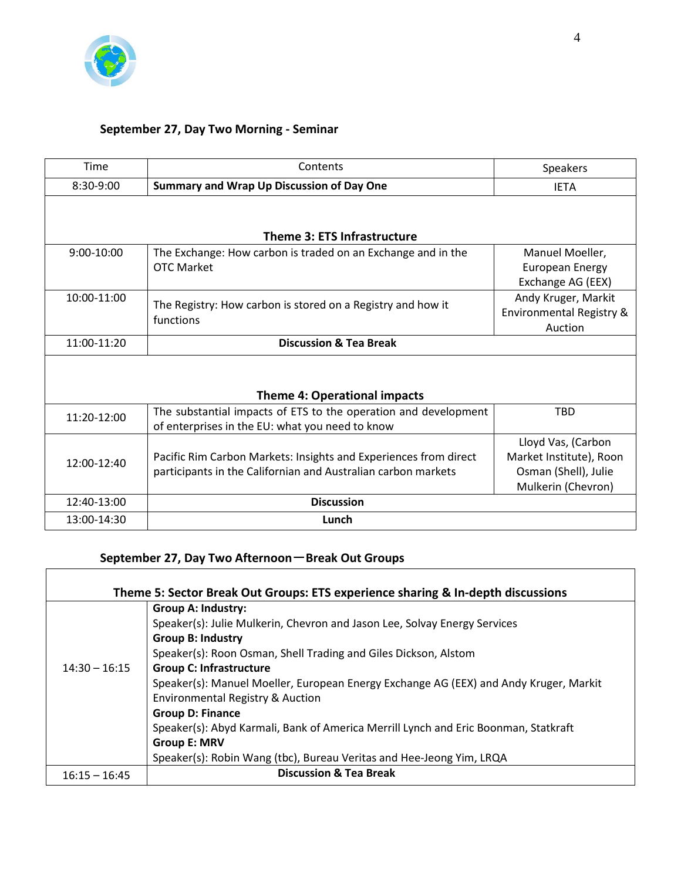

 $\overline{\Gamma}$ 

### **September 27, Day Two Morning - Seminar**

| Time          | Contents                                                         | <b>Speakers</b>          |  |  |
|---------------|------------------------------------------------------------------|--------------------------|--|--|
| 8:30-9:00     | Summary and Wrap Up Discussion of Day One                        | <b>IETA</b>              |  |  |
|               |                                                                  |                          |  |  |
|               |                                                                  |                          |  |  |
|               | Theme 3: ETS Infrastructure                                      |                          |  |  |
| $9:00-10:00$  | The Exchange: How carbon is traded on an Exchange and in the     | Manuel Moeller,          |  |  |
|               | <b>OTC Market</b>                                                | <b>European Energy</b>   |  |  |
|               |                                                                  | Exchange AG (EEX)        |  |  |
| 10:00-11:00   | The Registry: How carbon is stored on a Registry and how it      | Andy Kruger, Markit      |  |  |
|               |                                                                  | Environmental Registry & |  |  |
|               | functions                                                        | Auction                  |  |  |
| 11:00-11:20   | <b>Discussion &amp; Tea Break</b>                                |                          |  |  |
|               |                                                                  |                          |  |  |
|               |                                                                  |                          |  |  |
|               | <b>Theme 4: Operational impacts</b>                              |                          |  |  |
| 11:20-12:00   | The substantial impacts of ETS to the operation and development  | <b>TBD</b>               |  |  |
|               | of enterprises in the EU: what you need to know                  |                          |  |  |
|               |                                                                  | Lloyd Vas, (Carbon       |  |  |
| $12:00-12:40$ | Pacific Rim Carbon Markets: Insights and Experiences from direct | Market Institute), Roon  |  |  |
|               | participants in the Californian and Australian carbon markets    | Osman (Shell), Julie     |  |  |
|               |                                                                  | Mulkerin (Chevron)       |  |  |
| 12:40-13:00   | <b>Discussion</b>                                                |                          |  |  |
| 13:00-14:30   | Lunch                                                            |                          |  |  |
|               |                                                                  |                          |  |  |

## **September 27, Day Two Afternoon**-**Break Out Groups**

| Theme 5: Sector Break Out Groups: ETS experience sharing & In-depth discussions |                                                                                       |  |  |  |
|---------------------------------------------------------------------------------|---------------------------------------------------------------------------------------|--|--|--|
|                                                                                 | <b>Group A: Industry:</b>                                                             |  |  |  |
|                                                                                 | Speaker(s): Julie Mulkerin, Chevron and Jason Lee, Solvay Energy Services             |  |  |  |
|                                                                                 | <b>Group B: Industry</b>                                                              |  |  |  |
|                                                                                 | Speaker(s): Roon Osman, Shell Trading and Giles Dickson, Alstom                       |  |  |  |
| $14:30 - 16:15$                                                                 | <b>Group C: Infrastructure</b>                                                        |  |  |  |
|                                                                                 | Speaker(s): Manuel Moeller, European Energy Exchange AG (EEX) and Andy Kruger, Markit |  |  |  |
|                                                                                 | <b>Environmental Registry &amp; Auction</b>                                           |  |  |  |
|                                                                                 | <b>Group D: Finance</b>                                                               |  |  |  |
|                                                                                 | Speaker(s): Abyd Karmali, Bank of America Merrill Lynch and Eric Boonman, Statkraft   |  |  |  |
|                                                                                 | <b>Group E: MRV</b>                                                                   |  |  |  |
|                                                                                 | Speaker(s): Robin Wang (tbc), Bureau Veritas and Hee-Jeong Yim, LRQA                  |  |  |  |
| $16:15 - 16:45$                                                                 | <b>Discussion &amp; Tea Break</b>                                                     |  |  |  |